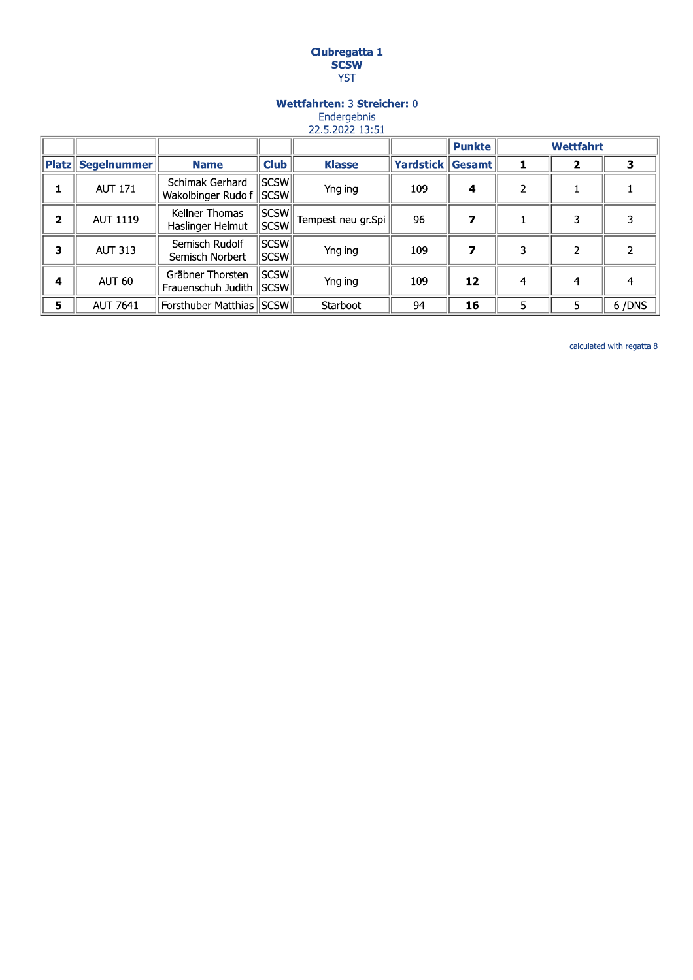# **Clubregatta 1<br>SCSW<br>YST**

# Wettfahrten: 3 Streicher: 0 Endergebnis

22.5.2022 13:51

|              |                            |                                               |                 |                    |                         | <b>Punkte</b> | <b>Wettfahrt</b> |   |       |
|--------------|----------------------------|-----------------------------------------------|-----------------|--------------------|-------------------------|---------------|------------------|---|-------|
|              | <b>Platz   Segelnummer</b> | <b>Name</b>                                   | <b>Club</b>     | <b>Klasse</b>      | <b>Yardstick Gesamt</b> |               |                  |   |       |
|              | <b>AUT 171</b>             | Schimak Gerhard<br>Wakolbinger Rudolf         | SCSW <br>  SCSW | Yngling            | 109                     | 4             | $\overline{2}$   |   |       |
| $\mathbf{2}$ | <b>AUT 1119</b>            | Kellner Thomas<br>Haslinger Helmut            | SCSW <br> SCSW  | Tempest neu gr.Spi | 96                      |               |                  |   |       |
| 3            | <b>AUT 313</b>             | Semisch Rudolf<br>Semisch Norbert             | SCSW<br> SCSW   | Yngling            | 109                     |               | 3                |   |       |
| 4            | AUT 60                     | Gräbner Thorsten<br>Frauenschuh Judith   SCSW | SCSW            | Yngling            | 109                     | 12            | 4                | 4 |       |
| 5            | <b>AUT 7641</b>            | Forsthuber Matthias   SCSW                    |                 | Starboot           | 94                      | 16            | 5                | 5 | 6/DNS |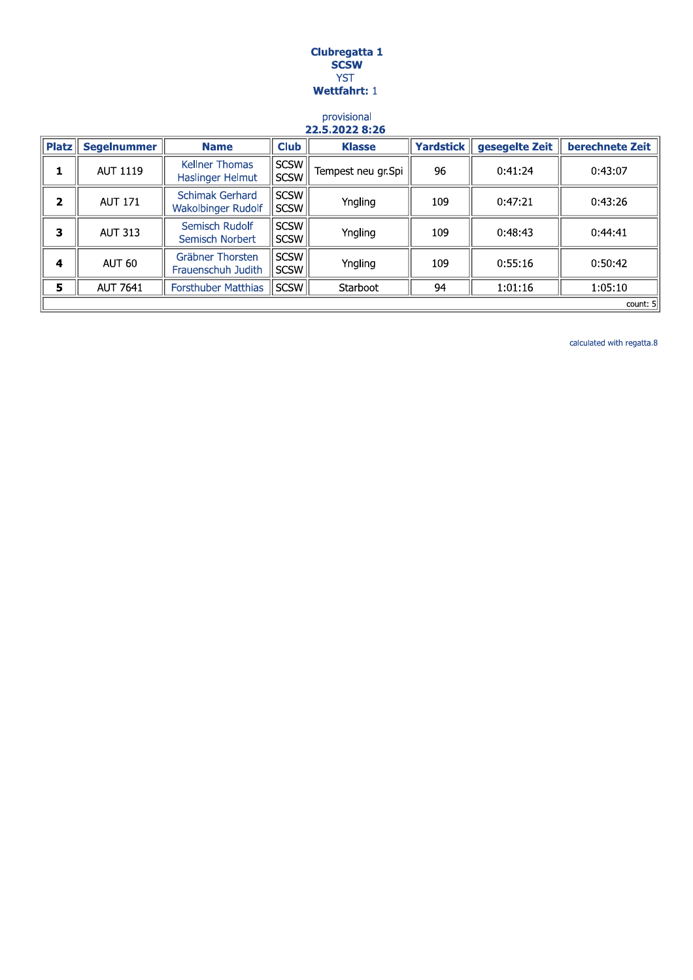## Clubregatta 1 **SCSW YST** Wettfahrt: 1

#### provisional 22.5.2022 8:26

| <b>Platz</b> | <b>Segelnummer</b> | <b>Name</b>                               | <b>Club</b>                | <b>Klasse</b>      | <b>Yardstick</b> | gesegelte Zeit | berechnete Zeit |  |  |
|--------------|--------------------|-------------------------------------------|----------------------------|--------------------|------------------|----------------|-----------------|--|--|
| 1            | AUT 1119           | <b>Kellner Thomas</b><br>Haslinger Helmut | <b>SCSW</b><br><b>SCSW</b> | Tempest neu gr.Spi | 96               | 0:41:24        | 0:43:07         |  |  |
| $\mathbf{2}$ | <b>AUT 171</b>     | Schimak Gerhard<br>Wakolbinger Rudolf     | <b>SCSW</b><br><b>SCSW</b> | Yngling            | 109              | 0:47:21        | 0:43:26         |  |  |
| 3            | <b>AUT 313</b>     | Semisch Rudolf<br>Semisch Norbert         | <b>SCSW</b><br><b>SCSW</b> | Yngling            | 109              | 0:48:43        | 0:44:41         |  |  |
| 4            | AUT 60             | Gräbner Thorsten<br>Frauenschuh Judith    | <b>SCSW</b><br><b>SCSW</b> | Yngling            | 109              | 0:55:16        | 0:50:42         |  |  |
| 5            | <b>AUT 7641</b>    | <b>Forsthuber Matthias</b>                | <b>SCSW</b>                | Starboot           | 94               | 1:01:16        | 1:05:10         |  |  |
|              | count: 5           |                                           |                            |                    |                  |                |                 |  |  |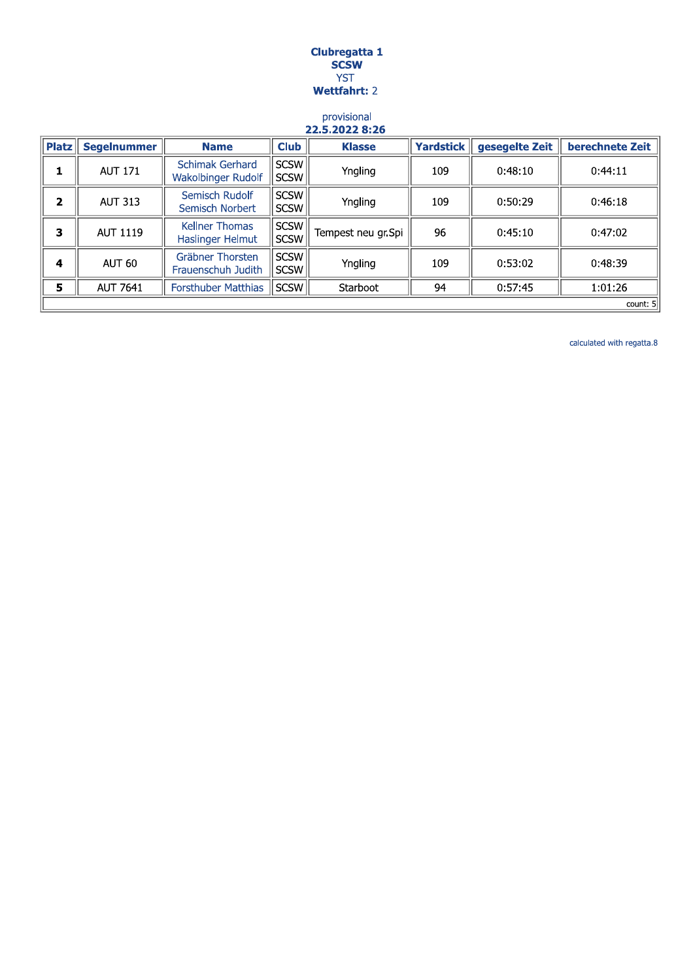## Clubregatta 1 **SCSW YST Wettfahrt: 2**

#### provisional 22.5.2022 8:26

| <b>Platz</b>   | <b>Segelnummer</b> | <b>Name</b>                                  | <b>Club</b>                | <b>Klasse</b>      | <b>Yardstick</b> | gesegelte Zeit | berechnete Zeit |  |
|----------------|--------------------|----------------------------------------------|----------------------------|--------------------|------------------|----------------|-----------------|--|
| 1              | <b>AUT 171</b>     | <b>Schimak Gerhard</b><br>Wakolbinger Rudolf | <b>SCSW</b><br><b>SCSW</b> | Yngling            | 109              | 0:48:10        | 0:44:11         |  |
| $\overline{2}$ | <b>AUT 313</b>     | Semisch Rudolf<br>Semisch Norbert            | <b>SCSW</b><br><b>SCSW</b> | Yngling            | 109              | 0:50:29        | 0:46:18         |  |
| 3              | AUT 1119           | <b>Kellner Thomas</b><br>Haslinger Helmut    | <b>SCSW</b><br><b>SCSW</b> | Tempest neu gr.Spi | 96               | 0:45:10        | 0:47:02         |  |
| 4              | AUT 60             | Gräbner Thorsten<br>Frauenschuh Judith       | <b>SCSW</b><br><b>SCSW</b> | Yngling            | 109              | 0:53:02        | 0:48:39         |  |
| 5              | <b>AUT 7641</b>    | <b>Forsthuber Matthias</b>                   | <b>SCSW</b>                | Starboot           | 94               | 0:57:45        | 1:01:26         |  |
|                | count: 5           |                                              |                            |                    |                  |                |                 |  |